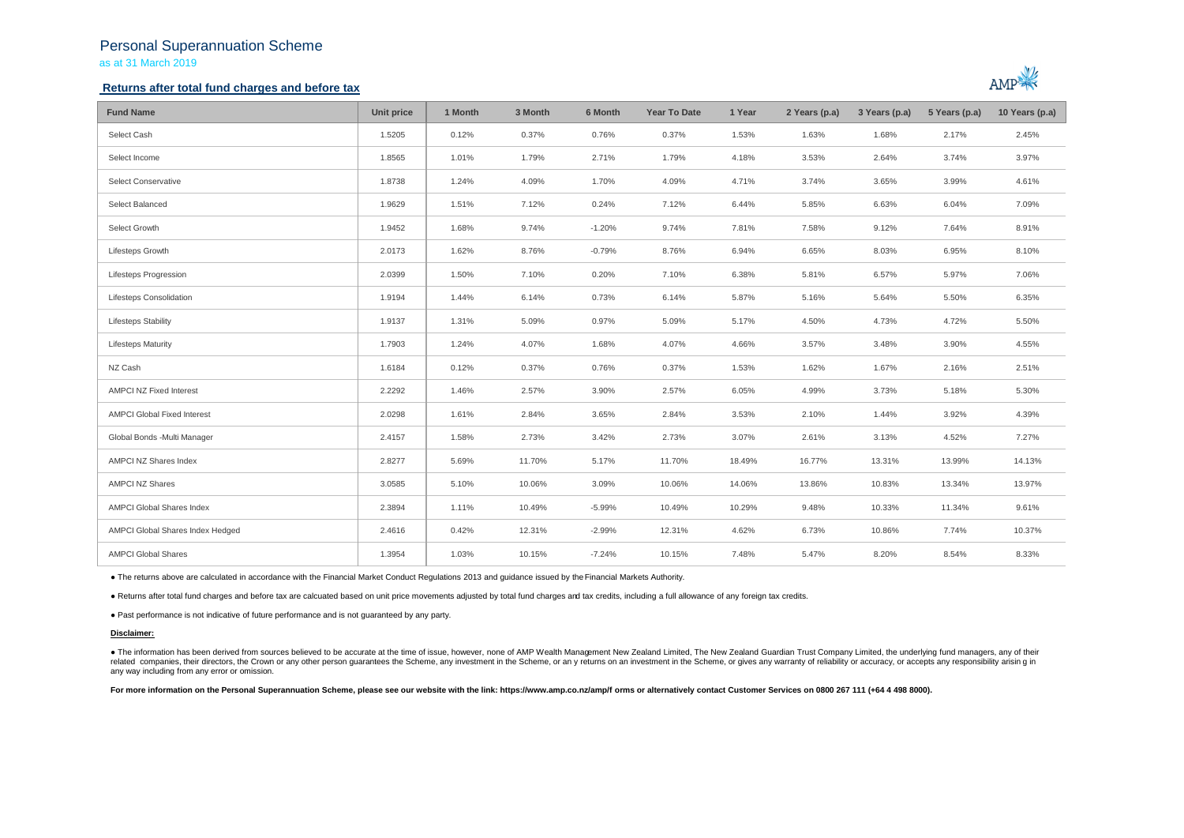# Personal Superannuation Scheme as at 31 March 2019

### **Returns after total fund charges and before tax**



| <b>Fund Name</b>                   | Unit price | 1 Month | 3 Month | 6 Month  | <b>Year To Date</b> | 1 Year | 2 Years (p.a) | 3 Years (p.a) | 5 Years (p.a) | 10 Years (p.a) |
|------------------------------------|------------|---------|---------|----------|---------------------|--------|---------------|---------------|---------------|----------------|
| Select Cash                        | 1.5205     | 0.12%   | 0.37%   | 0.76%    | 0.37%               | 1.53%  | 1.63%         | 1.68%         | 2.17%         | 2.45%          |
| Select Income                      | 1.8565     | 1.01%   | 1.79%   | 2.71%    | 1.79%               | 4.18%  | 3.53%         | 2.64%         | 3.74%         | 3.97%          |
| Select Conservative                | 1.8738     | 1.24%   | 4.09%   | 1.70%    | 4.09%               | 4.71%  | 3.74%         | 3.65%         | 3.99%         | 4.61%          |
| Select Balanced                    | 1.9629     | 1.51%   | 7.12%   | 0.24%    | 7.12%               | 6.44%  | 5.85%         | 6.63%         | 6.04%         | 7.09%          |
| Select Growth                      | 1.9452     | 1.68%   | 9.74%   | $-1.20%$ | 9.74%               | 7.81%  | 7.58%         | 9.12%         | 7.64%         | 8.91%          |
| Lifesteps Growth                   | 2.0173     | 1.62%   | 8.76%   | $-0.79%$ | 8.76%               | 6.94%  | 6.65%         | 8.03%         | 6.95%         | 8.10%          |
| <b>Lifesteps Progression</b>       | 2.0399     | 1.50%   | 7.10%   | 0.20%    | 7.10%               | 6.38%  | 5.81%         | 6.57%         | 5.97%         | 7.06%          |
| Lifesteps Consolidation            | 1.9194     | 1.44%   | 6.14%   | 0.73%    | 6.14%               | 5.87%  | 5.16%         | 5.64%         | 5.50%         | 6.35%          |
| <b>Lifesteps Stability</b>         | 1.9137     | 1.31%   | 5.09%   | 0.97%    | 5.09%               | 5.17%  | 4.50%         | 4.73%         | 4.72%         | 5.50%          |
| <b>Lifesteps Maturity</b>          | 1.7903     | 1.24%   | 4.07%   | 1.68%    | 4.07%               | 4.66%  | 3.57%         | 3.48%         | 3.90%         | 4.55%          |
| NZ Cash                            | 1.6184     | 0.12%   | 0.37%   | 0.76%    | 0.37%               | 1.53%  | 1.62%         | 1.67%         | 2.16%         | 2.51%          |
| <b>AMPCI NZ Fixed Interest</b>     | 2.2292     | 1.46%   | 2.57%   | 3.90%    | 2.57%               | 6.05%  | 4.99%         | 3.73%         | 5.18%         | 5.30%          |
| <b>AMPCI Global Fixed Interest</b> | 2.0298     | 1.61%   | 2.84%   | 3.65%    | 2.84%               | 3.53%  | 2.10%         | 1.44%         | 3.92%         | 4.39%          |
| Global Bonds -Multi Manager        | 2.4157     | 1.58%   | 2.73%   | 3.42%    | 2.73%               | 3.07%  | 2.61%         | 3.13%         | 4.52%         | 7.27%          |
| AMPCI NZ Shares Index              | 2.8277     | 5.69%   | 11.70%  | 5.17%    | 11.70%              | 18.49% | 16.77%        | 13.31%        | 13.99%        | 14.13%         |
| <b>AMPCI NZ Shares</b>             | 3.0585     | 5.10%   | 10.06%  | 3.09%    | 10.06%              | 14.06% | 13.86%        | 10.83%        | 13.34%        | 13.97%         |
| AMPCI Global Shares Index          | 2.3894     | 1.11%   | 10.49%  | $-5.99%$ | 10.49%              | 10.29% | 9.48%         | 10.33%        | 11.34%        | 9.61%          |
| AMPCI Global Shares Index Hedged   | 2.4616     | 0.42%   | 12.31%  | $-2.99%$ | 12.31%              | 4.62%  | 6.73%         | 10.86%        | 7.74%         | 10.37%         |
| <b>AMPCI Global Shares</b>         | 1.3954     | 1.03%   | 10.15%  | $-7.24%$ | 10.15%              | 7.48%  | 5.47%         | 8.20%         | 8.54%         | 8.33%          |

● The returns above are calculated in accordance with the Financial Market Conduct Regulations 2013 and guidance issued by the Financial Markets Authority.

● Returns after total fund charges and before tax are calcuated based on unit price movements adjusted by total fund charges and tax credits, including a full allowance of any foreign tax credits.

● Past performance is not indicative of future performance and is not guaranteed by any party.

#### **Disclaimer:**

. The information has been derived from sources believed to be accurate at the time of issue, however, none of AMP Wealth Management New Zealand Limited, The New Zealand Guardian Trust Company Limited, the underlying fund related companies, their directors, the Crown or any other person quarantees the Scheme, any investment in the Scheme, or any returns on an investment in the Scheme, or gives any warranty of reliability or accuracy, or acc any way including from any error or omission.

For more information on the Personal Superannuation Scheme, please see our website with the link: https://www.amp.co.nz/amp/f orms or alternatively contact Customer Services on 0800 267 111 (+64 4 498 8000).